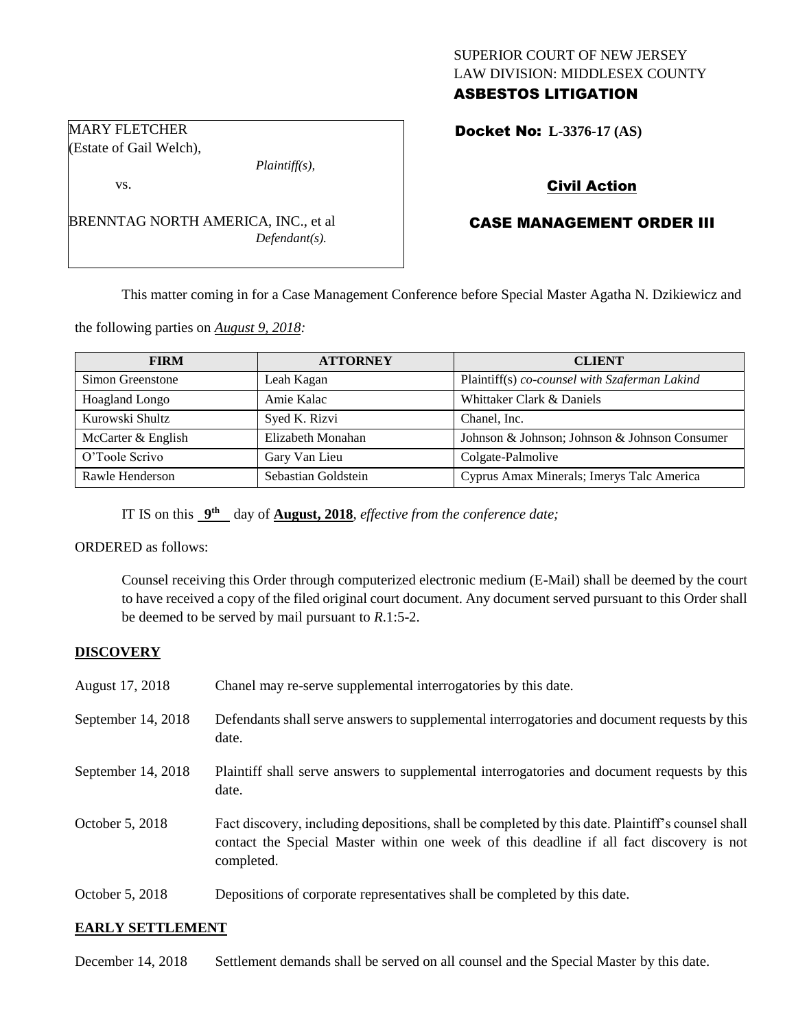## SUPERIOR COURT OF NEW JERSEY LAW DIVISION: MIDDLESEX COUNTY ASBESTOS LITIGATION

Docket No: **L-3376-17 (AS)** 

# Civil Action

# CASE MANAGEMENT ORDER III

This matter coming in for a Case Management Conference before Special Master Agatha N. Dzikiewicz and

the following parties on *August 9, 2018:*

BRENNTAG NORTH AMERICA, INC., et al

| <b>FIRM</b>        | <b>ATTORNEY</b>     | <b>CLIENT</b>                                 |
|--------------------|---------------------|-----------------------------------------------|
| Simon Greenstone   | Leah Kagan          | Plaintiff(s) co-counsel with Szaferman Lakind |
| Hoagland Longo     | Amie Kalac          | Whittaker Clark & Daniels                     |
| Kurowski Shultz    | Syed K. Rizvi       | Chanel, Inc.                                  |
| McCarter & English | Elizabeth Monahan   | Johnson & Johnson; Johnson & Johnson Consumer |
| O'Toole Scrivo     | Gary Van Lieu       | Colgate-Palmolive                             |
| Rawle Henderson    | Sebastian Goldstein | Cyprus Amax Minerals; Imerys Talc America     |

IT IS on this  $9^{\text{th}}$  day of **August, 2018**, *effective from the conference date*;

ORDERED as follows:

Counsel receiving this Order through computerized electronic medium (E-Mail) shall be deemed by the court to have received a copy of the filed original court document. Any document served pursuant to this Order shall be deemed to be served by mail pursuant to *R*.1:5-2.

### **DISCOVERY**

| August 17, 2018    | Chanel may re-serve supplemental interrogatories by this date.                                                                                                                                              |
|--------------------|-------------------------------------------------------------------------------------------------------------------------------------------------------------------------------------------------------------|
| September 14, 2018 | Defendants shall serve answers to supplemental interrogatories and document requests by this<br>date.                                                                                                       |
| September 14, 2018 | Plaintiff shall serve answers to supplemental interrogatories and document requests by this<br>date.                                                                                                        |
| October 5, 2018    | Fact discovery, including depositions, shall be completed by this date. Plaintiff's counsel shall<br>contact the Special Master within one week of this deadline if all fact discovery is not<br>completed. |
| October 5, 2018    | Depositions of corporate representatives shall be completed by this date.                                                                                                                                   |

### **EARLY SETTLEMENT**

December 14, 2018 Settlement demands shall be served on all counsel and the Special Master by this date.

MARY FLETCHER (Estate of Gail Welch),

vs.

*Plaintiff(s),*

*Defendant(s).*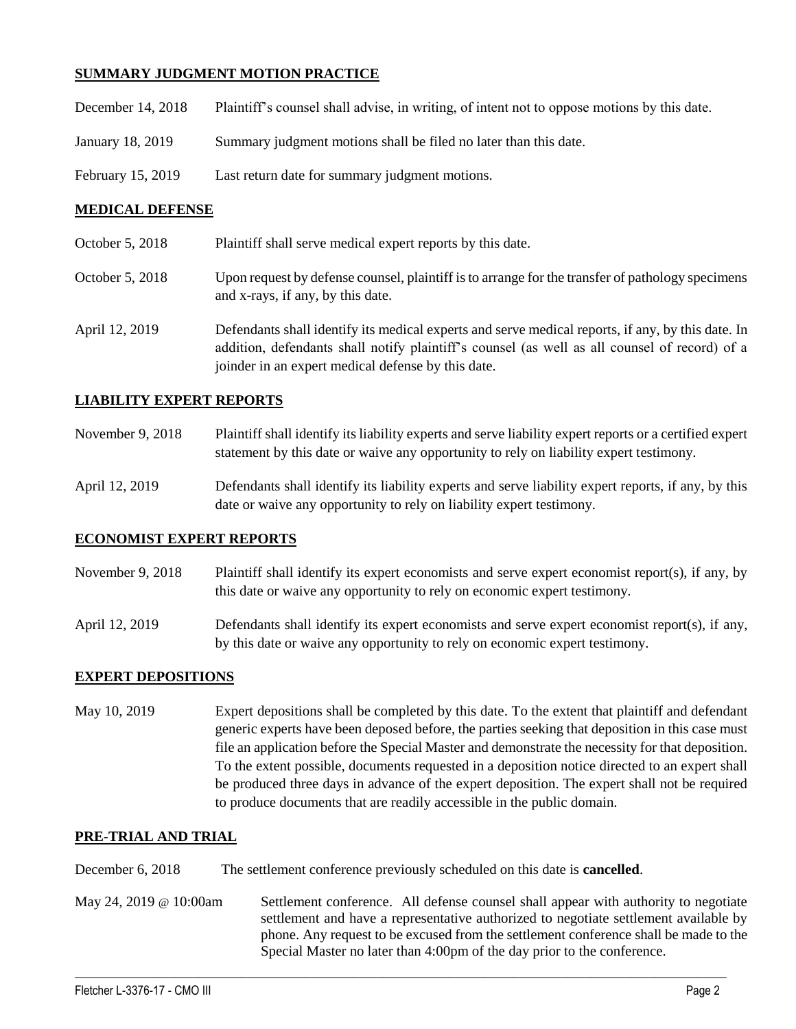## **SUMMARY JUDGMENT MOTION PRACTICE**

| December 14, 2018 | Plaintiff's counsel shall advise, in writing, of intent not to oppose motions by this date. |
|-------------------|---------------------------------------------------------------------------------------------|
| January 18, 2019  | Summary judgment motions shall be filed no later than this date.                            |
| February 15, 2019 | Last return date for summary judgment motions.                                              |

### **MEDICAL DEFENSE**

- October 5, 2018 Plaintiff shall serve medical expert reports by this date.
- October 5, 2018 Upon request by defense counsel, plaintiff is to arrange for the transfer of pathology specimens and x-rays, if any, by this date.
- April 12, 2019 Defendants shall identify its medical experts and serve medical reports, if any, by this date. In addition, defendants shall notify plaintiff's counsel (as well as all counsel of record) of a joinder in an expert medical defense by this date.

### **LIABILITY EXPERT REPORTS**

- November 9, 2018 Plaintiff shall identify its liability experts and serve liability expert reports or a certified expert statement by this date or waive any opportunity to rely on liability expert testimony.
- April 12, 2019 Defendants shall identify its liability experts and serve liability expert reports, if any, by this date or waive any opportunity to rely on liability expert testimony.

### **ECONOMIST EXPERT REPORTS**

- November 9, 2018 Plaintiff shall identify its expert economists and serve expert economist report(s), if any, by this date or waive any opportunity to rely on economic expert testimony.
- April 12, 2019 Defendants shall identify its expert economists and serve expert economist report(s), if any, by this date or waive any opportunity to rely on economic expert testimony.

### **EXPERT DEPOSITIONS**

May 10, 2019 Expert depositions shall be completed by this date. To the extent that plaintiff and defendant generic experts have been deposed before, the parties seeking that deposition in this case must file an application before the Special Master and demonstrate the necessity for that deposition. To the extent possible, documents requested in a deposition notice directed to an expert shall be produced three days in advance of the expert deposition. The expert shall not be required to produce documents that are readily accessible in the public domain.

### **PRE-TRIAL AND TRIAL**

December 6, 2018 The settlement conference previously scheduled on this date is **cancelled**.

May 24, 2019 @ 10:00am Settlement conference. All defense counsel shall appear with authority to negotiate settlement and have a representative authorized to negotiate settlement available by phone. Any request to be excused from the settlement conference shall be made to the Special Master no later than 4:00pm of the day prior to the conference.

 $\_$  ,  $\_$  ,  $\_$  ,  $\_$  ,  $\_$  ,  $\_$  ,  $\_$  ,  $\_$  ,  $\_$  ,  $\_$  ,  $\_$  ,  $\_$  ,  $\_$  ,  $\_$  ,  $\_$  ,  $\_$  ,  $\_$  ,  $\_$  ,  $\_$  ,  $\_$  ,  $\_$  ,  $\_$  ,  $\_$  ,  $\_$  ,  $\_$  ,  $\_$  ,  $\_$  ,  $\_$  ,  $\_$  ,  $\_$  ,  $\_$  ,  $\_$  ,  $\_$  ,  $\_$  ,  $\_$  ,  $\_$  ,  $\_$  ,